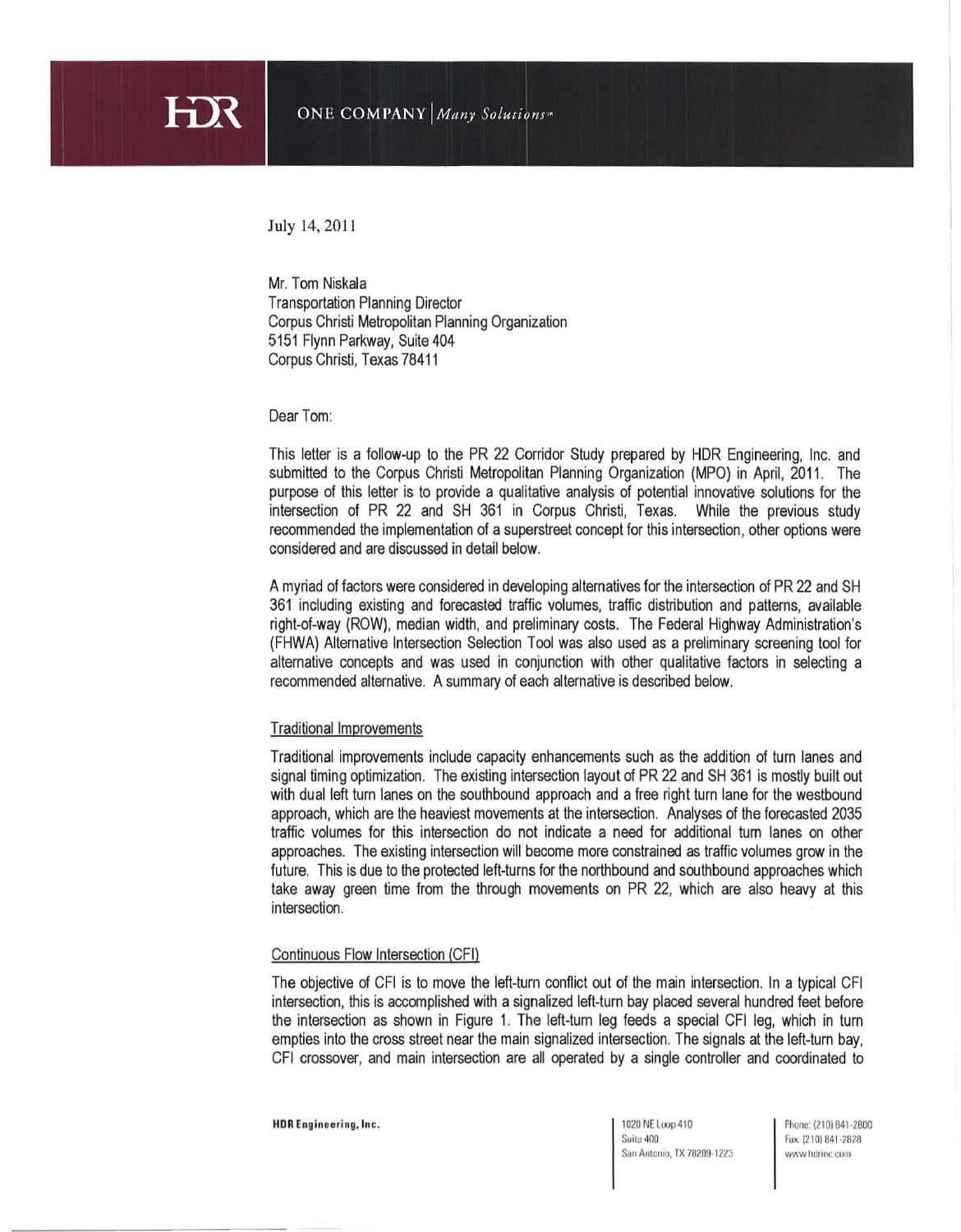

July 14,2011

HX

Mr. Tom Niskala Transportation Planning Director Corpus Christi Metropolitan Planning Organization 5151 Flynn Parkway, Suite 404 Corpus Christi, Texas 78411

Dear Tom:

This letter is a follow-up to the PR 22 Corridor Study prepared by HDR Engineering, Inc. and submitted to the Corpus Christi Metropolitan Planning Organization (MPO) in April, 2011 . The purpose of this letter is to provide a qualitative analysis of potential innovative solutions for the intersection of PR 22 and SH 361 in Corpus Christi, Texas. While the previous study recommended the implementation of a superstreet concept for this intersection, other options were considered and are discussed in detail below.

A myriad of factors were considered in developing alternatives for the intersection of PR 22 and SH 361 including existing and forecasted traffic volumes, traffic distribution and patterns, available right-of-way (ROW), median width, and preliminary costs. The Federal Highway Administration's (FHWA) Alternative Intersection Selection Tool was also used as a preliminary screening tool for alternative concepts and was used in conjunction with other qualitative factors in selecting a recommended alternative. A summary of each alternative is described below.

### Traditional Improvements

Traditional improvements include capacity enhancements such as the addition of turn lanes and signal timing optimization. The existing intersection layout of PR 22 and SH 361 is mostly built out with dual left turn lanes on the southbound approach and a free right turn lane for the westbound approach, which are the heaviest movements at the intersection. Analyses of the forecasted 2035 traffic volumes for this intersection do not indicate a need for additional turn lanes on other approaches. The existing intersection will become more constrained as traffic volumes grow in the future. This is due to the protected left-turns for the northbound and southbound approaches which take away green time from the through movements on PR 22, which are also heavy at this intersection.

## Continuous Flow Intersection (CFI)

The objective of CFI is to move the left-turn conflict out of the main intersection. In a typical CFI intersection, this is accomplished with a signalized left-turn bay placed several hundred feet before the intersection as shown in Figure 1. The left-turn leg feeds a special CFI leg, which in turn empties into the cross street near the main signalized intersection. The signals at the left-turn bay, CFI crossover, and main intersection are all operated by a single controller and coordinated to

**Suite 400 San Antonio, TX 78209-1223**  **Phone: (2101641 -2800**  fQ <sup>~</sup>**(210)841-2828 www.hdrinc.com**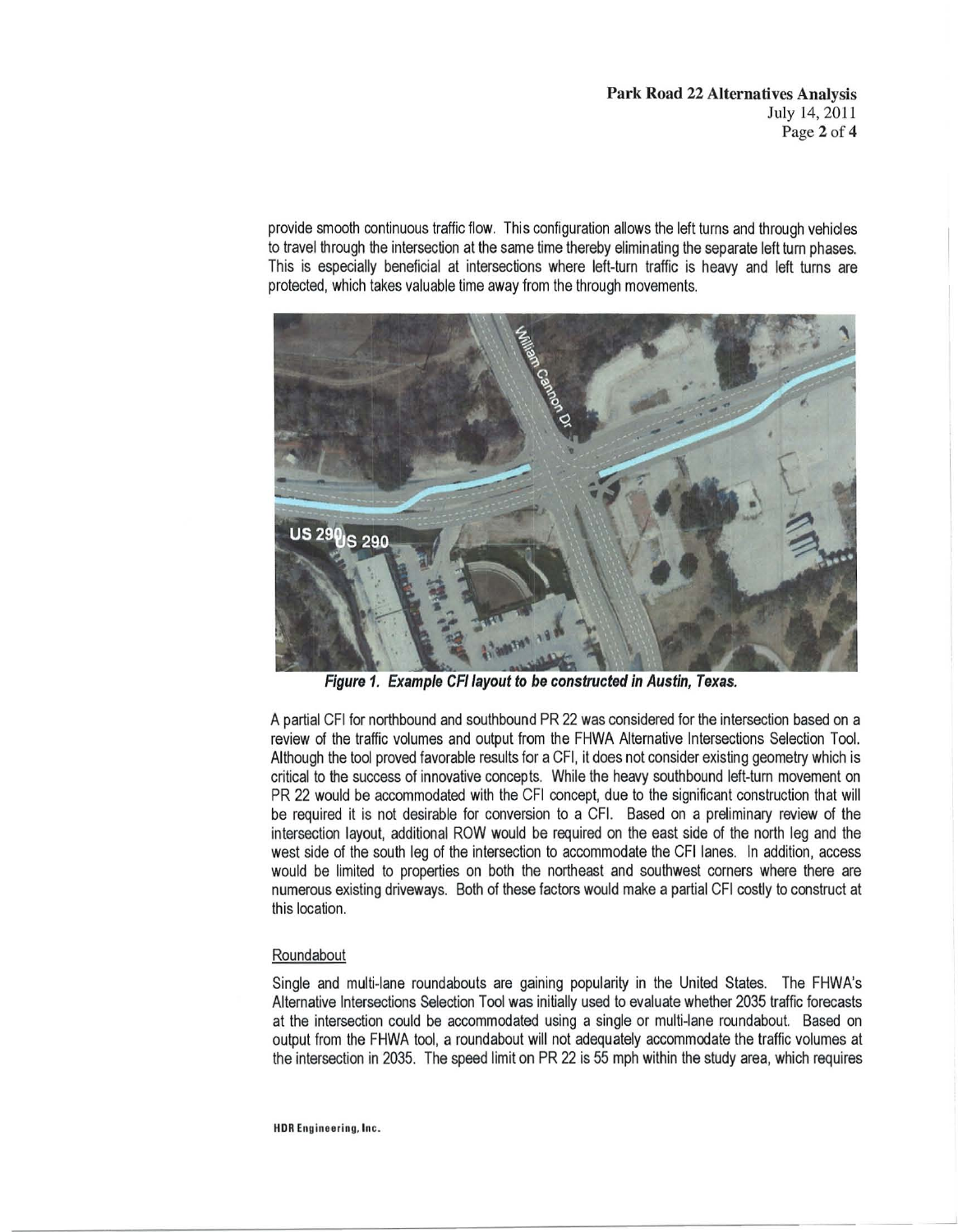provide smooth continuous traffic flow. This configuration allows the left turns and through vehicles to travel through the intersection at the same time thereby eliminating the separate left turn phases. This is especially beneficial at intersections where left-turn traffic is heavy and left turns are protected, which takes valuable time away from the through movements.



Figure 1. Example CFI layout to be constructed in Austin. Texas.

A partial CFI for northbound and southbound PR 22 was considered for the intersection based on a review of the traffic volumes and output from the FHWA Alternative Intersections Selection Tool. Although the tool proved favorable results for a CFI, it does not consider existing geometry which is critical to the success of innovative concepts. While the heavy southbound left-turn movement on PR 22 would be accommodated with the CFI concept, due to the significant construction that will be required it is not desirable for conversion to a CFI. Based on a preliminary review of the intersection layout, additional ROW would be required on the east side of the north leg and the west side of the south leg of the intersection to accommodate the CFI lanes. In addition, access would be limited to properties on both the northeast and southwest corners where there are numerous existing driveways. Both of these factors would make a partial CFI costly to construct at this location.

# Roundabout

Single and multi-lane roundabouts are gaining popularity in the United States. The FHWA's Alternative Intersections Selection Tool was initially used to evaluate whether 2035 traffic forecasts at the intersection could be accommodated using a single or multi-lane roundabout. Based on output from the FHWA tool, a roundabout will not adequately accommodate the traffic volumes at the intersection in 2035. The speed limit on PR 22 is 55 mph within the study area, which requires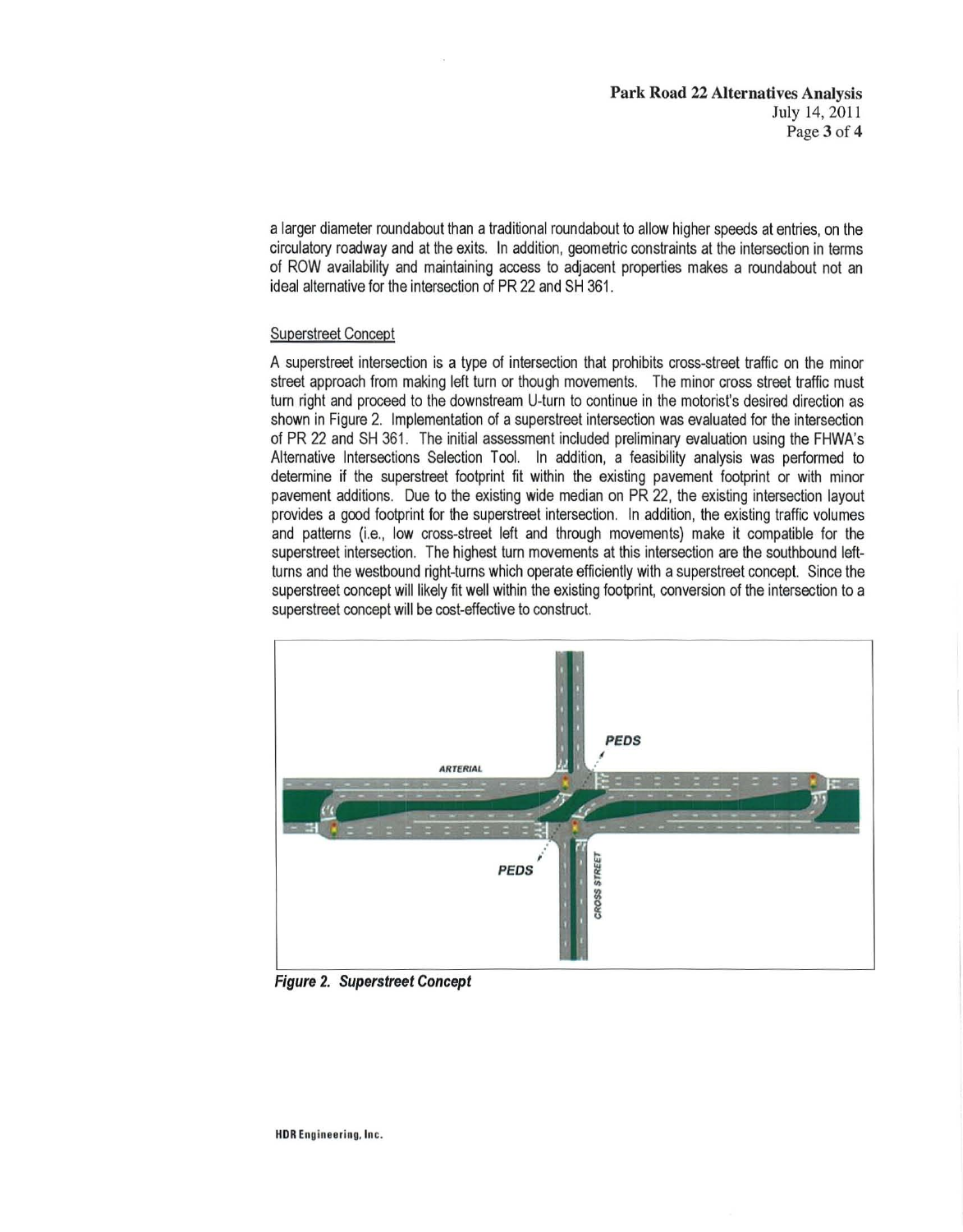a larger diameter roundabout than a traditional roundabout to allow higher speeds at entries, on the circulatory roadway and at the exits. In addition, geometric constraints at the intersection in terms of ROW availability and maintaining aocess to adjacent properties makes a roundabout not an ideal alternative for the intersection of PR 22 and SH 361 .

## Superstreet Concept

A superstreet intersection is a type of intersection that prohibits cross-street traffic on the minor street approach from making left turn or though movements. The minor cross street traffic must turn right and proceed to the downstream U-turn to continue in the motorist's desired direction as shown in Figure 2. Implementation of a superstreet intersection was evaluated for the intersection of PR 22 and SH 361 . The initial assessment included preliminary evaluation using the FHWA's Alternative Intersections Selection Tool. In addition, a feasibility analysis was performed to determine if the superstreet footprint fit within the existing pavement footprint or with minor pavement additions. Due to the existing wide median on PR 22, the existing intersection layout provides a good footprint for the superstreet intersection. In addition, the existing traffic volumes and patterns (i.e., low cross-street left and through movements) make it compatible for the superstreet intersection. The highest turn movements at this intersection are the southbound leftturns and the westbound right-turns which operate efficiently with a superstreet concept. Since the superstreet concept will likely fit well within the existing footprint, conversion of the intersection to a superstreet concept will be cost-effective to construct.



Figure 2. Superstreet Concept